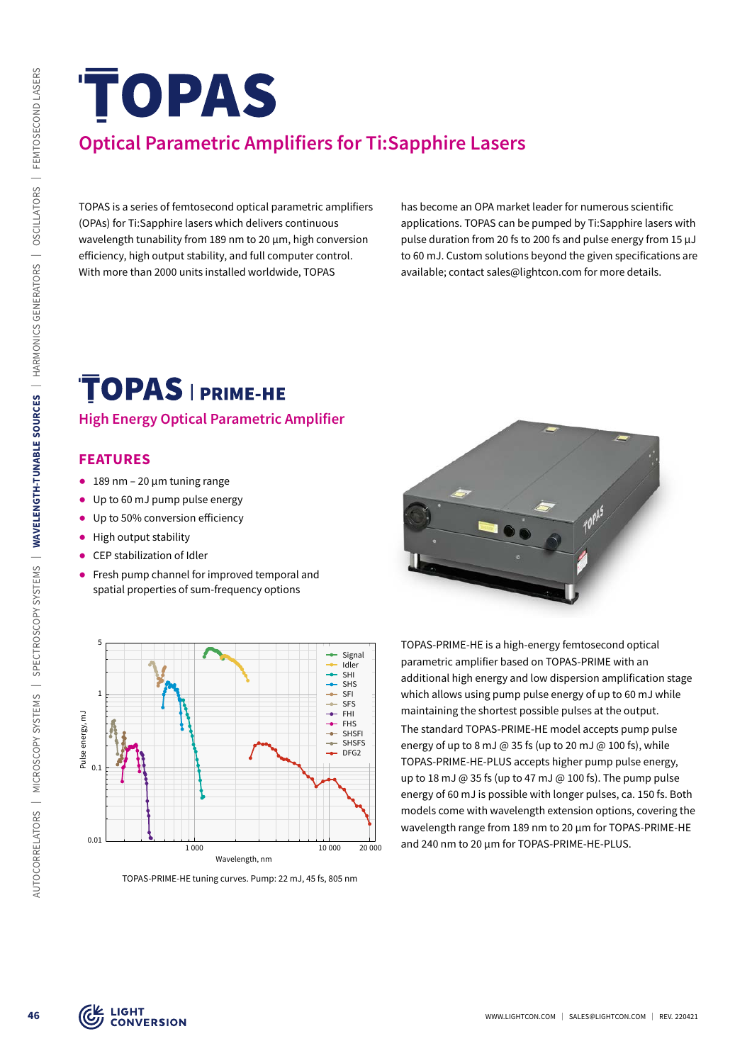# **Optical Parametric Amplifiers for Ti:Sapphire Lasers**

TOPAS is a series of femtosecond optical parametric amplifiers (OPAs) for Ti:Sapphire lasers which delivers continuous wavelength tunability from 189 nm to 20 µm, high conversion efficiency, high output stability, and full computer control. With more than 2000 units installed worldwide, TOPAS

has become an OPA market leader for numerous scientific applications. TOPAS can be pumped by Ti:Sapphire lasers with pulse duration from 20 fs to 200 fs and pulse energy from 15 µJ to 60 mJ. Custom solutions beyond the given specifications are available; contact sales@lightcon.com for more details.

#### **High Energy Optical Parametric Amplifier**

#### **FEATURES**

- $\bullet$  189 nm 20 µm tuning range
- ᰋ Up to 60 mJ pump pulse energy
- Up to 50% conversion efficiency
- High output stability
- CEP stabilization of Idler
- Fresh pump channel for improved temporal and spatial properties of sum-frequency options



TOPAS-PRIME-HE tuning curves. Pump: 22 mJ, 45 fs, 805 nm



TOPAS-PRIME-HE is a high-energy femtosecond optical parametric amplifier based on TOPAS-PRIME with an additional high energy and low dispersion amplification stage which allows using pump pulse energy of up to 60 mJ while maintaining the shortest possible pulses at the output. The standard TOPAS-PRIME-HE model accepts pump pulse energy of up to 8 mJ @ 35 fs (up to 20 mJ @ 100 fs), while TOPAS-PRIME-HE-PLUS accepts higher pump pulse energy, up to 18 mJ  $\omega$  35 fs (up to 47 mJ  $\omega$  100 fs). The pump pulse energy of 60 mJ is possible with longer pulses, ca. 150 fs. Both models come with wavelength extension options, covering the wavelength range from 189 nm to 20 µm for TOPAS-PRIME-HE and 240 nm to 20 µm for TOPAS-PRIME-HE-PLUS.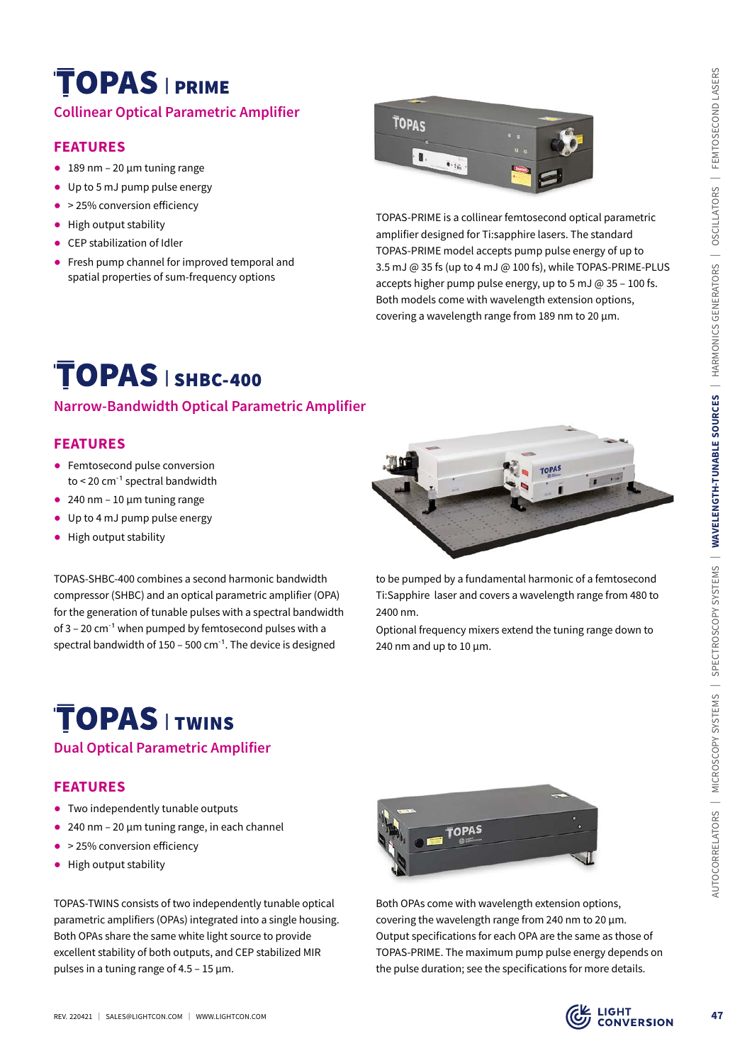## **Collinear Optical Parametric Amplifier**

### **FEATURES**

- $\bullet$  189 nm 20 µm tuning range
- ᰋ Up to 5 mJ pump pulse energy
- ᰋ > 25% conversion efficiency
- High output stability
- CEP stabilization of Idler
- Fresh pump channel for improved temporal and spatial properties of sum-frequency options



TOPAS-PRIME is a collinear femtosecond optical parametric amplifier designed for Ti:sapphire lasers. The standard TOPAS-PRIME model accepts pump pulse energy of up to 3.5 mJ @ 35 fs (up to 4 mJ @ 100 fs), while TOPAS-PRIME-PLUS accepts higher pump pulse energy, up to 5 mJ @ 35 – 100 fs. Both models come with wavelength extension options, covering a wavelength range from 189 nm to 20 µm.

### **Narrow-Bandwidth Optical Parametric Amplifier**

## **FEATURES**

- Femtosecond pulse conversion to  $<$  20 cm<sup>-1</sup> spectral bandwidth
- $\bullet$  240 nm 10 µm tuning range
- Up to 4 mJ pump pulse energy
- High output stability

TOPAS-SHBC-400 combines a second harmonic bandwidth compressor (SHBC) and an optical parametric amplifier (OPA) for the generation of tunable pulses with a spectral bandwidth of  $3 - 20$  cm<sup>-1</sup> when pumped by femtosecond pulses with a spectral bandwidth of 150 – 500  $cm^{-1}$ . The device is designed



to be pumped by a fundamental harmonic of a femtosecond Ti:Sapphire laser and covers a wavelength range from 480 to 2400 nm.

Optional frequency mixers extend the tuning range down to 240 nm and up to  $10 \mu m$ .

## **Dual Optical Parametric Amplifier**

#### **FEATURES**

- Two independently tunable outputs
- 240 nm 20 µm tuning range, in each channel
- ᰋ > 25% conversion efficiency
- High output stability

TOPAS-TWINS consists of two independently tunable optical parametric amplifiers (OPAs) integrated into a single housing. Both OPAs share the same white light source to provide excellent stability of both outputs, and CEP stabilized MIR pulses in a tuning range of 4.5 – 15 µm.



Both OPAs come with wavelength extension options, covering the wavelength range from 240 nm to 20 µm. Output specifications for each OPA are the same as those of TOPAS-PRIME. The maximum pump pulse energy depends on the pulse duration; see the specifications for more details.